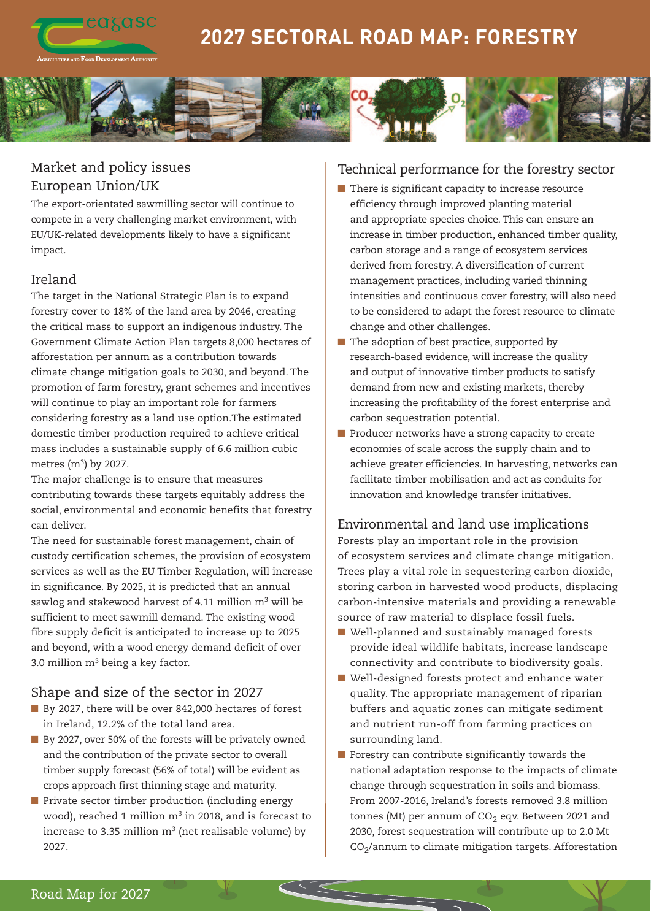

# **2027 SECTORAL ROAD MAP: FORESTRY**



# Market and policy issues European Union/UK

The export-orientated sawmilling sector will continue to compete in a very challenging market environment, with EU/UK-related developments likely to have a significant impact.

## Ireland

The target in the National Strategic Plan is to expand forestry cover to 18% of the land area by 2046, creating the critical mass to support an indigenous industry. The Government Climate Action Plan targets 8,000 hectares of afforestation per annum as a contribution towards climate change mitigation goals to 2030, and beyond. The promotion of farm forestry, grant schemes and incentives will continue to play an important role for farmers considering forestry as a land use option.The estimated domestic timber production required to achieve critical mass includes a sustainable supply of 6.6 million cubic metres  $(m^3)$  by 2027.

The major challenge is to ensure that measures contributing towards these targets equitably address the social, environmental and economic benefits that forestry can deliver.

The need for sustainable forest management, chain of custody certification schemes, the provision of ecosystem services as well as the EU Timber Regulation, will increase in significance. By 2025, it is predicted that an annual sawlog and stakewood harvest of 4.11 million m<sup>3</sup> will be sufficient to meet sawmill demand. The existing wood fibre supply deficit is anticipated to increase up to 2025 and beyond, with a wood energy demand deficit of over 3.0 million  $m<sup>3</sup>$  being a key factor.

### Shape and size of the sector in 2027

- By 2027, there will be over 842,000 hectares of forest in Ireland, 12.2% of the total land area.
- By 2027, over 50% of the forests will be privately owned and the contribution of the private sector to overall timber supply forecast (56% of total) will be evident as crops approach first thinning stage and maturity.
- $\blacksquare$  Private sector timber production (including energy wood), reached 1 million  $m^3$  in 2018, and is forecast to increase to 3.35 million  $m^3$  (net realisable volume) by 2027.

### Technical performance for the forestry sector

- $\blacksquare$  There is significant capacity to increase resource efficiency through improved planting material and appropriate species choice. This can ensure an increase in timber production, enhanced timber quality, carbon storage and a range of ecosystem services derived from forestry. A diversification of current management practices, including varied thinning intensities and continuous cover forestry, will also need to be considered to adapt the forest resource to climate change and other challenges.
- $\blacksquare$  The adoption of best practice, supported by research-based evidence, will increase the quality and output of innovative timber products to satisfy demand from new and existing markets, thereby increasing the profitability of the forest enterprise and carbon sequestration potential.
- $\blacksquare$  Producer networks have a strong capacity to create economies of scale across the supply chain and to achieve greater efficiencies. In harvesting, networks can facilitate timber mobilisation and act as conduits for innovation and knowledge transfer initiatives.

# Environmental and land use implications

Forests play an important role in the provision of ecosystem services and climate change mitigation. Trees play a vital role in sequestering carbon dioxide, storing carbon in harvested wood products, displacing carbon-intensive materials and providing a renewable source of raw material to displace fossil fuels.

- Well-planned and sustainably managed forests provide ideal wildlife habitats, increase landscape connectivity and contribute to biodiversity goals.
- Well-designed forests protect and enhance water quality. The appropriate management of riparian buffers and aquatic zones can mitigate sediment and nutrient run-off from farming practices on surrounding land.
- $\blacksquare$  Forestry can contribute significantly towards the national adaptation response to the impacts of climate change through sequestration in soils and biomass. From 2007-2016, Ireland's forests removed 3.8 million tonnes (Mt) per annum of  $CO<sub>2</sub>$  eqv. Between 2021 and 2030, forest sequestration will contribute up to 2.0 Mt  $CO<sub>2</sub>/annum$  to climate mitigation targets. Afforestation